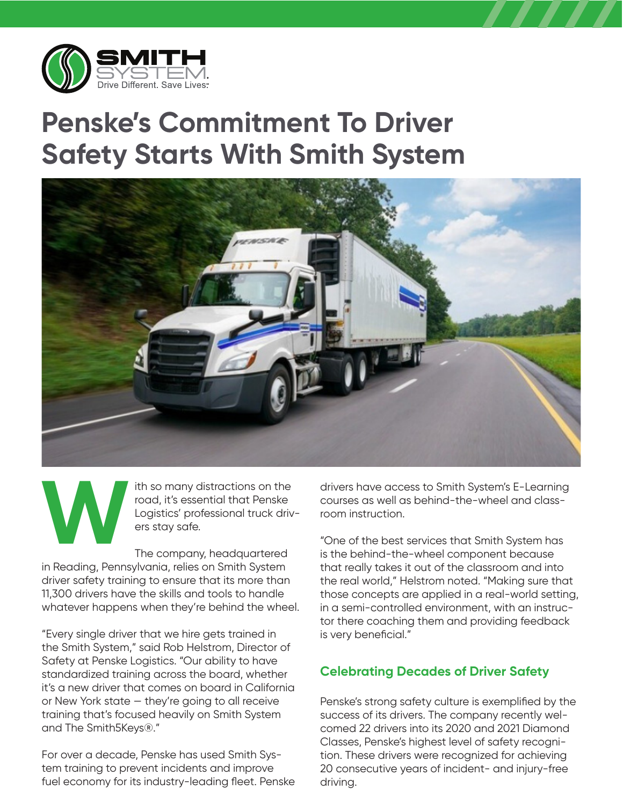

## **Penske's Commitment To Driver Safety Starts With Smith System**



ith so many distractions on the road, it's essential that Penske Logistics' professional truck drivers stay safe.

The company, headquartered in Reading, Pennsylvania, relies on Smith System driver safety training to ensure that its more than 11,300 drivers have the skills and tools to handle whatever happens when they're behind the wheel. **W**

"Every single driver that we hire gets trained in the Smith System," said Rob Helstrom, Director of Safety at Penske Logistics. "Our ability to have standardized training across the board, whether it's a new driver that comes on board in California or New York state — they're going to all receive training that's focused heavily on Smith System and The Smith5Keys®."

For over a decade, Penske has used Smith System training to prevent incidents and improve fuel economy for its industry-leading fleet. Penske drivers have access to Smith System's E-Learning courses as well as behind-the-wheel and classroom instruction.

"One of the best services that Smith System has is the behind-the-wheel component because that really takes it out of the classroom and into the real world," Helstrom noted. "Making sure that those concepts are applied in a real-world setting, in a semi-controlled environment, with an instructor there coaching them and providing feedback is very beneficial."

## **Celebrating Decades of Driver Safety**

Penske's strong safety culture is exemplified by the success of its drivers. The company recently welcomed 22 drivers into its 2020 and 2021 Diamond Classes, Penske's highest level of safety recognition. These drivers were recognized for achieving 20 consecutive years of incident- and injury-free driving.